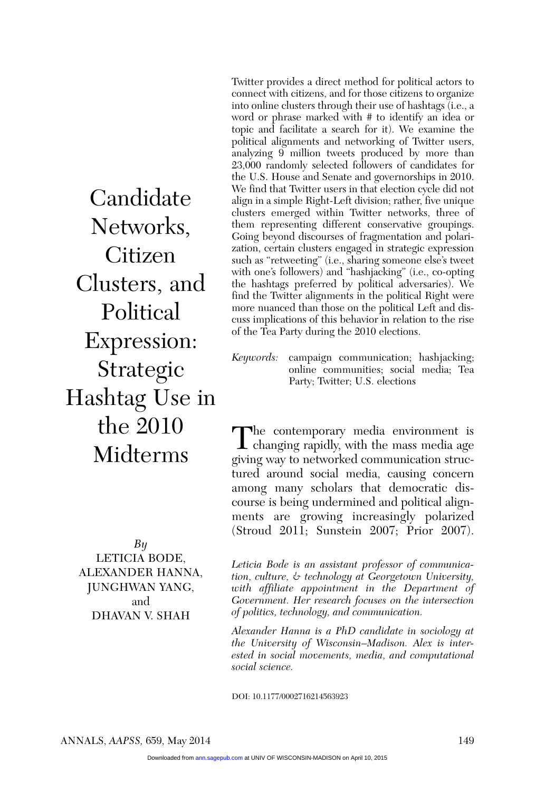Candidate Networks, Citizen Clusters, and Political Expression: Strategic Hashtag Use in the 2010 Midterms

*By* Leticia Bode, Alexander Hanna, Junghwan Yang, and Dhavan V. Shah

Twitter provides a direct method for political actors to connect with citizens, and for those citizens to organize into online clusters through their use of hashtags (i.e., a word or phrase marked with # to identify an idea or topic and facilitate a search for it). We examine the political alignments and networking of Twitter users, analyzing 9 million tweets produced by more than 23,000 randomly selected followers of candidates for the U.S. House and Senate and governorships in 2010. We find that Twitter users in that election cycle did not align in a simple Right-Left division; rather, five unique clusters emerged within Twitter networks, three of them representing different conservative groupings. Going beyond discourses of fragmentation and polarization, certain clusters engaged in strategic expression such as "retweeting" (i.e., sharing someone else's tweet with one's followers) and "hashjacking" (i.e., co-opting the hashtags preferred by political adversaries). We find the Twitter alignments in the political Right were more nuanced than those on the political Left and discuss implications of this behavior in relation to the rise of the Tea Party during the 2010 elections.

*Keywords:* campaign communication; hashjacking; online communities; social media; Tea Party; Twitter; U.S. elections

The contemporary media environment is changing rapidly, with the mass media age giving way to networked communication structured around social media, causing concern among many scholars that democratic discourse is being undermined and political alignments are growing increasingly polarized (Stroud 2011; Sunstein 2007; Prior 2007).

*Leticia Bode is an assistant professor of communication, culture, & technology at Georgetown University, with affiliate appointment in the Department of Government. Her research focuses on the intersection of politics, technology, and communication.*

*Alexander Hanna is a PhD candidate in sociology at the University of Wisconsin–Madison. Alex is interested in social movements, media, and computational social science.*

DOI: 10.1177/0002716214563923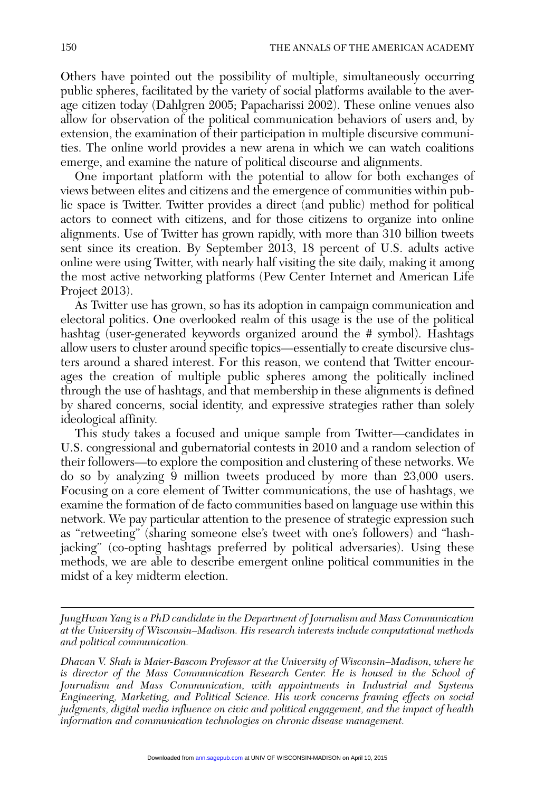Others have pointed out the possibility of multiple, simultaneously occurring public spheres, facilitated by the variety of social platforms available to the average citizen today (Dahlgren 2005; Papacharissi 2002). These online venues also allow for observation of the political communication behaviors of users and, by extension, the examination of their participation in multiple discursive communities. The online world provides a new arena in which we can watch coalitions emerge, and examine the nature of political discourse and alignments.

One important platform with the potential to allow for both exchanges of views between elites and citizens and the emergence of communities within public space is Twitter. Twitter provides a direct (and public) method for political actors to connect with citizens, and for those citizens to organize into online alignments. Use of Twitter has grown rapidly, with more than 310 billion tweets sent since its creation. By September 2013, 18 percent of U.S. adults active online were using Twitter, with nearly half visiting the site daily, making it among the most active networking platforms (Pew Center Internet and American Life Project 2013).

As Twitter use has grown, so has its adoption in campaign communication and electoral politics. One overlooked realm of this usage is the use of the political hashtag (user-generated keywords organized around the # symbol). Hashtags allow users to cluster around specific topics—essentially to create discursive clusters around a shared interest. For this reason, we contend that Twitter encourages the creation of multiple public spheres among the politically inclined through the use of hashtags, and that membership in these alignments is defined by shared concerns, social identity, and expressive strategies rather than solely ideological affinity.

This study takes a focused and unique sample from Twitter—candidates in U.S. congressional and gubernatorial contests in 2010 and a random selection of their followers—to explore the composition and clustering of these networks. We do so by analyzing  $\overline{9}$  million tweets produced by more than 23,000 users. Focusing on a core element of Twitter communications, the use of hashtags, we examine the formation of de facto communities based on language use within this network. We pay particular attention to the presence of strategic expression such as "retweeting" (sharing someone else's tweet with one's followers) and "hashjacking" (co-opting hashtags preferred by political adversaries). Using these methods, we are able to describe emergent online political communities in the midst of a key midterm election.

*JungHwan Yang is a PhD candidate in the Department of Journalism and Mass Communication at the University of Wisconsin–Madison. His research interests include computational methods and political communication.*

*Dhavan V. Shah is Maier-Bascom Professor at the University of Wisconsin–Madison, where he*  is director of the Mass Communication Research Center. He is housed in the School of *Journalism and Mass Communication, with appointments in Industrial and Systems Engineering, Marketing, and Political Science. His work concerns framing effects on social judgments, digital media influence on civic and political engagement, and the impact of health information and communication technologies on chronic disease management.*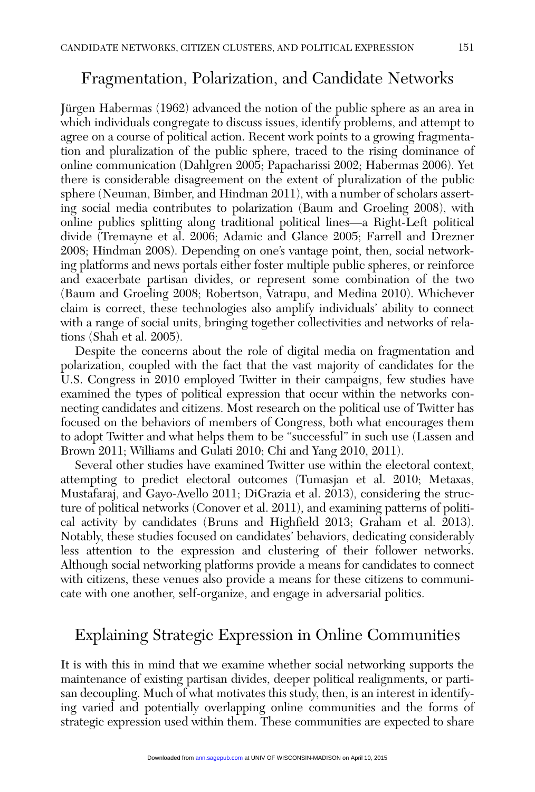# Fragmentation, Polarization, and Candidate Networks

Jürgen Habermas (1962) advanced the notion of the public sphere as an area in which individuals congregate to discuss issues, identify problems, and attempt to agree on a course of political action. Recent work points to a growing fragmentation and pluralization of the public sphere, traced to the rising dominance of online communication (Dahlgren 2005; Papacharissi 2002; Habermas 2006). Yet there is considerable disagreement on the extent of pluralization of the public sphere (Neuman, Bimber, and Hindman 2011), with a number of scholars asserting social media contributes to polarization (Baum and Groeling 2008), with online publics splitting along traditional political lines—a Right-Left political divide (Tremayne et al. 2006; Adamic and Glance 2005; Farrell and Drezner 2008; Hindman 2008). Depending on one's vantage point, then, social networking platforms and news portals either foster multiple public spheres, or reinforce and exacerbate partisan divides, or represent some combination of the two (Baum and Groeling 2008; Robertson, Vatrapu, and Medina 2010). Whichever claim is correct, these technologies also amplify individuals' ability to connect with a range of social units, bringing together collectivities and networks of relations (Shah et al. 2005).

Despite the concerns about the role of digital media on fragmentation and polarization, coupled with the fact that the vast majority of candidates for the U.S. Congress in 2010 employed Twitter in their campaigns, few studies have examined the types of political expression that occur within the networks connecting candidates and citizens. Most research on the political use of Twitter has focused on the behaviors of members of Congress, both what encourages them to adopt Twitter and what helps them to be "successful" in such use (Lassen and Brown 2011; Williams and Gulati 2010; Chi and Yang 2010, 2011).

Several other studies have examined Twitter use within the electoral context, attempting to predict electoral outcomes (Tumasjan et al. 2010; Metaxas, Mustafaraj, and Gayo-Avello 2011; DiGrazia et al. 2013), considering the structure of political networks (Conover et al. 2011), and examining patterns of political activity by candidates (Bruns and Highfield 2013; Graham et al. 2013). Notably, these studies focused on candidates' behaviors, dedicating considerably less attention to the expression and clustering of their follower networks. Although social networking platforms provide a means for candidates to connect with citizens, these venues also provide a means for these citizens to communicate with one another, self-organize, and engage in adversarial politics.

# Explaining Strategic Expression in Online Communities

It is with this in mind that we examine whether social networking supports the maintenance of existing partisan divides, deeper political realignments, or partisan decoupling. Much of what motivates this study, then, is an interest in identifying varied and potentially overlapping online communities and the forms of strategic expression used within them. These communities are expected to share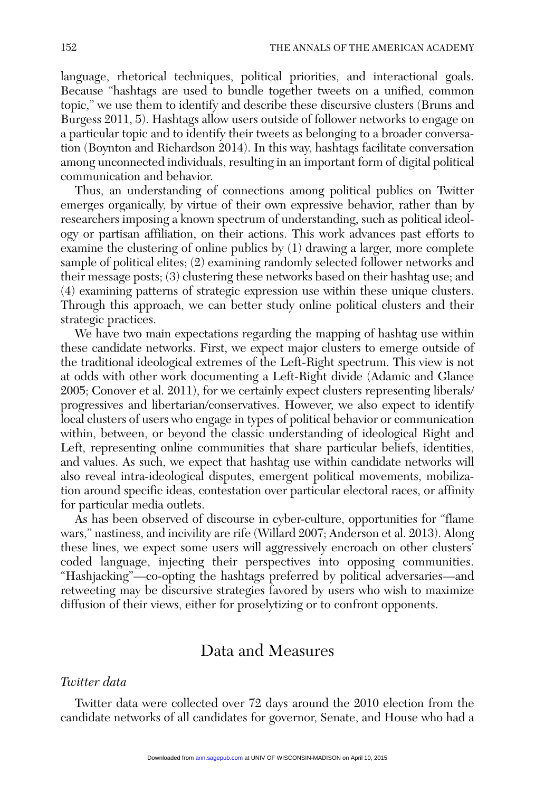language, rhetorical techniques, political priorities, and interactional goals. Because "hashtags are used to bundle together tweets on a unified, common topic," we use them to identify and describe these discursive clusters (Bruns and Burgess 2011, 5). Hashtags allow users outside of follower networks to engage on a particular topic and to identify their tweets as belonging to a broader conversation (Boynton and Richardson 2014). In this way, hashtags facilitate conversation among unconnected individuals, resulting in an important form of digital political communication and behavior.

Thus, an understanding of connections among political publics on Twitter emerges organically, by virtue of their own expressive behavior, rather than by researchers imposing a known spectrum of understanding, such as political ideology or partisan affiliation, on their actions. This work advances past efforts to examine the clustering of online publics by (1) drawing a larger, more complete sample of political elites; (2) examining randomly selected follower networks and their message posts; (3) clustering these networks based on their hashtag use; and (4) examining patterns of strategic expression use within these unique clusters. Through this approach, we can better study online political clusters and their strategic practices.

We have two main expectations regarding the mapping of hashtag use within these candidate networks. First, we expect major clusters to emerge outside of the traditional ideological extremes of the Left-Right spectrum. This view is not at odds with other work documenting a Left-Right divide (Adamic and Glance 2005; Conover et al. 2011), for we certainly expect clusters representing liberals/ progressives and libertarian/conservatives. However, we also expect to identify local clusters of users who engage in types of political behavior or communication within, between, or beyond the classic understanding of ideological Right and Left, representing online communities that share particular beliefs, identities, and values. As such, we expect that hashtag use within candidate networks will also reveal intra-ideological disputes, emergent political movements, mobilization around specific ideas, contestation over particular electoral races, or affinity for particular media outlets.

As has been observed of discourse in cyber-culture, opportunities for "flame wars," nastiness, and incivility are rife (Willard 2007; Anderson et al. 2013). Along these lines, we expect some users will aggressively encroach on other clusters' coded language, injecting their perspectives into opposing communities. "Hashjacking"—co-opting the hashtags preferred by political adversaries—and retweeting may be discursive strategies favored by users who wish to maximize diffusion of their views, either for proselytizing or to confront opponents.

# Data and Measures

#### *Twitter data*

Twitter data were collected over 72 days around the 2010 election from the candidate networks of all candidates for governor, Senate, and House who had a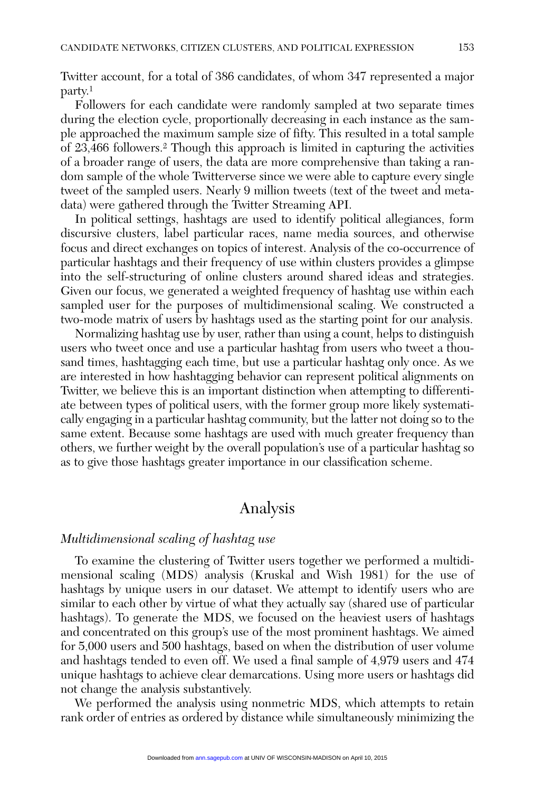Twitter account, for a total of 386 candidates, of whom 347 represented a major party. 1

Followers for each candidate were randomly sampled at two separate times during the election cycle, proportionally decreasing in each instance as the sample approached the maximum sample size of fifty. This resulted in a total sample of 23,466 followers.2 Though this approach is limited in capturing the activities of a broader range of users, the data are more comprehensive than taking a random sample of the whole Twitterverse since we were able to capture every single tweet of the sampled users. Nearly 9 million tweets (text of the tweet and metadata) were gathered through the Twitter Streaming API.

In political settings, hashtags are used to identify political allegiances, form discursive clusters, label particular races, name media sources, and otherwise focus and direct exchanges on topics of interest. Analysis of the co-occurrence of particular hashtags and their frequency of use within clusters provides a glimpse into the self-structuring of online clusters around shared ideas and strategies. Given our focus, we generated a weighted frequency of hashtag use within each sampled user for the purposes of multidimensional scaling. We constructed a two-mode matrix of users by hashtags used as the starting point for our analysis.

Normalizing hashtag use by user, rather than using a count, helps to distinguish users who tweet once and use a particular hashtag from users who tweet a thousand times, hashtagging each time, but use a particular hashtag only once. As we are interested in how hashtagging behavior can represent political alignments on Twitter, we believe this is an important distinction when attempting to differentiate between types of political users, with the former group more likely systematically engaging in a particular hashtag community, but the latter not doing so to the same extent. Because some hashtags are used with much greater frequency than others, we further weight by the overall population's use of a particular hashtag so as to give those hashtags greater importance in our classification scheme.

## Analysis

#### *Multidimensional scaling of hashtag use*

To examine the clustering of Twitter users together we performed a multidimensional scaling (MDS) analysis (Kruskal and Wish 1981) for the use of hashtags by unique users in our dataset. We attempt to identify users who are similar to each other by virtue of what they actually say (shared use of particular hashtags). To generate the MDS, we focused on the heaviest users of hashtags and concentrated on this group's use of the most prominent hashtags. We aimed for 5,000 users and 500 hashtags, based on when the distribution of user volume and hashtags tended to even off. We used a final sample of 4,979 users and 474 unique hashtags to achieve clear demarcations. Using more users or hashtags did not change the analysis substantively.

We performed the analysis using nonmetric MDS, which attempts to retain rank order of entries as ordered by distance while simultaneously minimizing the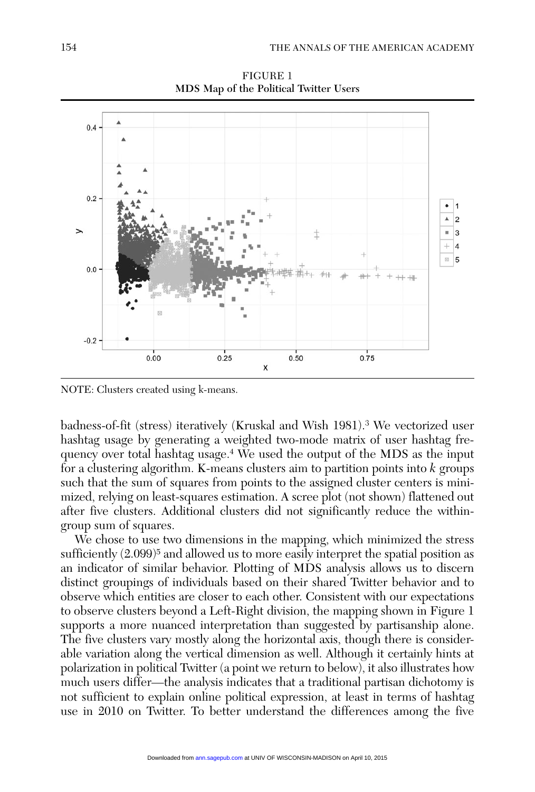

FIGURE 1 MDS Map of the Political Twitter Users

NOTE: Clusters created using k-means.

badness-of-fit (stress) iteratively (Kruskal and Wish 1981).3 We vectorized user hashtag usage by generating a weighted two-mode matrix of user hashtag frequency over total hashtag usage.4 We used the output of the MDS as the input for a clustering algorithm. K-means clusters aim to partition points into *k* groups such that the sum of squares from points to the assigned cluster centers is minimized, relying on least-squares estimation. A scree plot (not shown) flattened out after five clusters. Additional clusters did not significantly reduce the withingroup sum of squares.

We chose to use two dimensions in the mapping, which minimized the stress sufficiently  $(2.099)^5$  and allowed us to more easily interpret the spatial position as an indicator of similar behavior. Plotting of MDS analysis allows us to discern distinct groupings of individuals based on their shared Twitter behavior and to observe which entities are closer to each other. Consistent with our expectations to observe clusters beyond a Left-Right division, the mapping shown in Figure 1 supports a more nuanced interpretation than suggested by partisanship alone. The five clusters vary mostly along the horizontal axis, though there is considerable variation along the vertical dimension as well. Although it certainly hints at polarization in political Twitter (a point we return to below), it also illustrates how much users differ—the analysis indicates that a traditional partisan dichotomy is not sufficient to explain online political expression, at least in terms of hashtag use in 2010 on Twitter. To better understand the differences among the five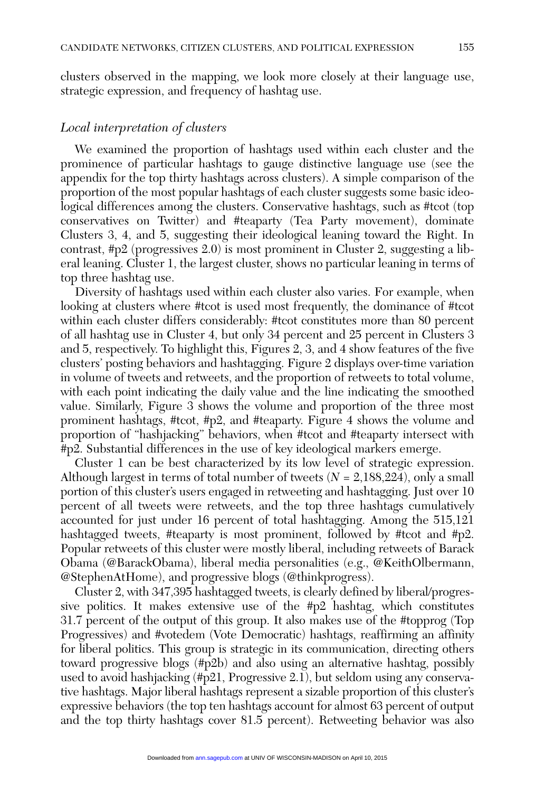clusters observed in the mapping, we look more closely at their language use, strategic expression, and frequency of hashtag use.

#### *Local interpretation of clusters*

We examined the proportion of hashtags used within each cluster and the prominence of particular hashtags to gauge distinctive language use (see the appendix for the top thirty hashtags across clusters). A simple comparison of the proportion of the most popular hashtags of each cluster suggests some basic ideological differences among the clusters. Conservative hashtags, such as #tcot (top conservatives on Twitter) and #teaparty (Tea Party movement), dominate Clusters 3, 4, and 5, suggesting their ideological leaning toward the Right. In contrast, #p2 (progressives 2.0) is most prominent in Cluster 2, suggesting a liberal leaning. Cluster 1, the largest cluster, shows no particular leaning in terms of top three hashtag use.

Diversity of hashtags used within each cluster also varies. For example, when looking at clusters where #tcot is used most frequently, the dominance of #tcot within each cluster differs considerably: #tcot constitutes more than 80 percent of all hashtag use in Cluster 4, but only 34 percent and 25 percent in Clusters 3 and 5, respectively. To highlight this, Figures 2, 3, and 4 show features of the five clusters' posting behaviors and hashtagging. Figure 2 displays over-time variation in volume of tweets and retweets, and the proportion of retweets to total volume, with each point indicating the daily value and the line indicating the smoothed value. Similarly, Figure 3 shows the volume and proportion of the three most prominent hashtags, #tcot, #p2, and #teaparty. Figure 4 shows the volume and proportion of "hashjacking" behaviors, when #tcot and #teaparty intersect with #p2. Substantial differences in the use of key ideological markers emerge.

Cluster 1 can be best characterized by its low level of strategic expression. Although largest in terms of total number of tweets (*N* = 2,188,224), only a small portion of this cluster's users engaged in retweeting and hashtagging. Just over 10 percent of all tweets were retweets, and the top three hashtags cumulatively accounted for just under 16 percent of total hashtagging. Among the 515,121 hashtagged tweets, #teaparty is most prominent, followed by #tcot and #p2. Popular retweets of this cluster were mostly liberal, including retweets of Barack Obama (@BarackObama), liberal media personalities (e.g., @KeithOlbermann, @StephenAtHome), and progressive blogs (@thinkprogress).

Cluster 2, with 347,395 hashtagged tweets, is clearly defined by liberal/progressive politics. It makes extensive use of the #p2 hashtag, which constitutes 31.7 percent of the output of this group. It also makes use of the #topprog (Top Progressives) and #votedem (Vote Democratic) hashtags, reaffirming an affinity for liberal politics. This group is strategic in its communication, directing others toward progressive blogs (#p2b) and also using an alternative hashtag, possibly used to avoid hashjacking (#p21, Progressive 2.1), but seldom using any conservative hashtags. Major liberal hashtags represent a sizable proportion of this cluster's expressive behaviors (the top ten hashtags account for almost 63 percent of output and the top thirty hashtags cover 81.5 percent). Retweeting behavior was also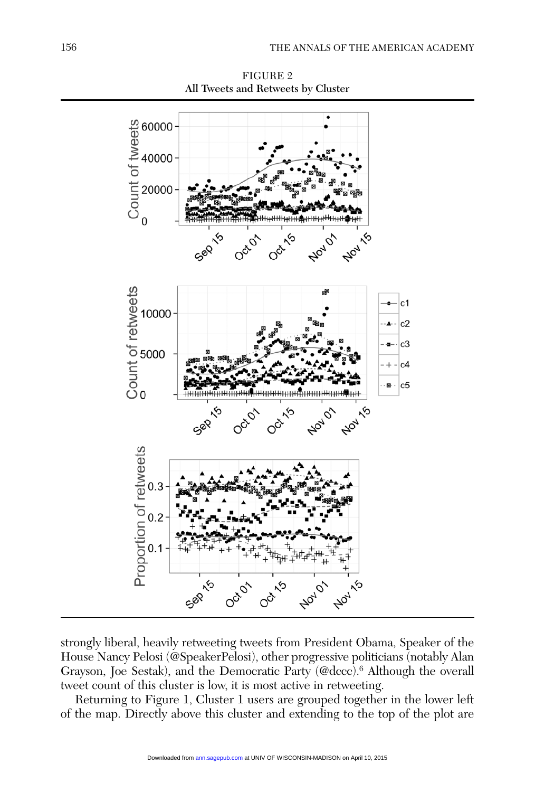

Figure 2 All Tweets and Retweets by Cluster

strongly liberal, heavily retweeting tweets from President Obama, Speaker of the House Nancy Pelosi (@SpeakerPelosi), other progressive politicians (notably Alan Grayson, Joe Sestak), and the Democratic Party (@dccc).6 Although the overall tweet count of this cluster is low, it is most active in retweeting.

Returning to Figure 1, Cluster 1 users are grouped together in the lower left of the map. Directly above this cluster and extending to the top of the plot are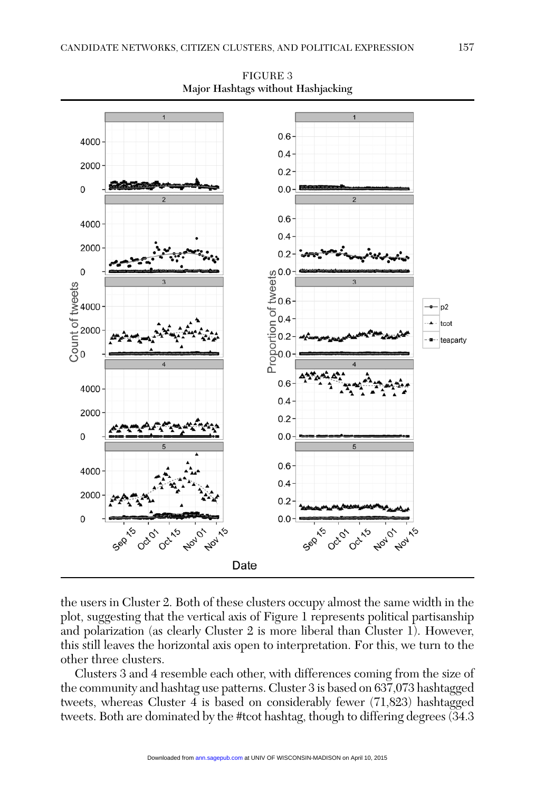

Figure 3 Major Hashtags without Hashjacking

the users in Cluster 2. Both of these clusters occupy almost the same width in the plot, suggesting that the vertical axis of Figure 1 represents political partisanship and polarization (as clearly Cluster 2 is more liberal than Cluster 1). However, this still leaves the horizontal axis open to interpretation. For this, we turn to the other three clusters.

Clusters 3 and 4 resemble each other, with differences coming from the size of the community and hashtag use patterns. Cluster 3 is based on 637,073 hashtagged tweets, whereas Cluster 4 is based on considerably fewer (71,823) hashtagged tweets. Both are dominated by the #tcot hashtag, though to differing degrees (34.3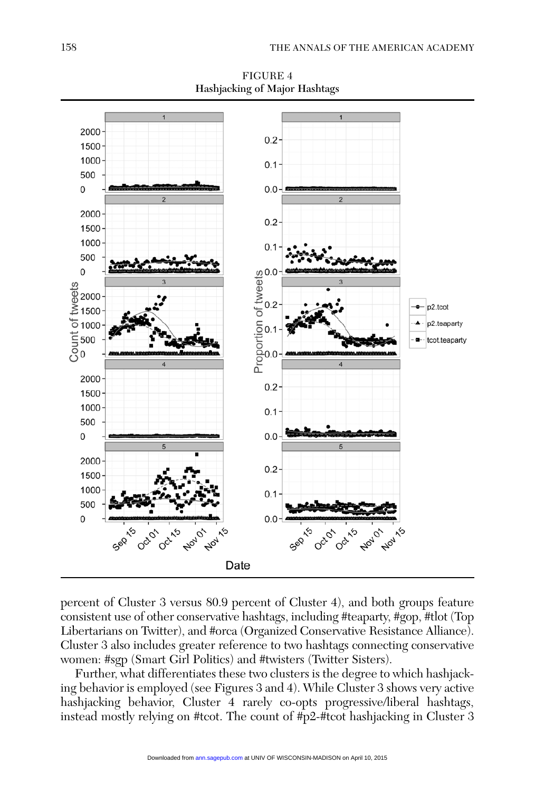

FIGURE 4 Hashjacking of Major Hashtags

percent of Cluster 3 versus 80.9 percent of Cluster 4), and both groups feature consistent use of other conservative hashtags, including #teaparty, #gop, #tlot (Top Libertarians on Twitter), and #orca (Organized Conservative Resistance Alliance). Cluster 3 also includes greater reference to two hashtags connecting conservative women: #sgp (Smart Girl Politics) and #twisters (Twitter Sisters).

Further, what differentiates these two clusters is the degree to which hashjacking behavior is employed (see Figures 3 and 4). While Cluster 3 shows very active hashjacking behavior, Cluster 4 rarely co-opts progressive/liberal hashtags, instead mostly relying on #tcot. The count of #p2-#tcot hashjacking in Cluster 3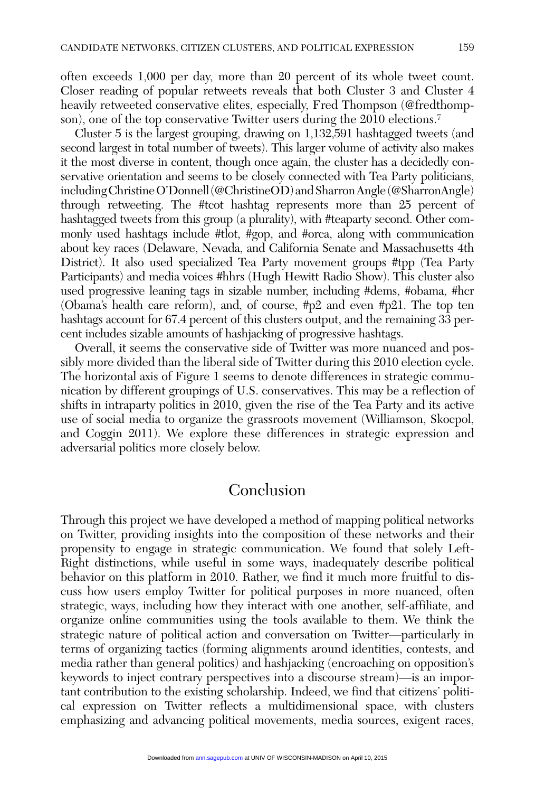often exceeds 1,000 per day, more than 20 percent of its whole tweet count. Closer reading of popular retweets reveals that both Cluster 3 and Cluster 4 heavily retweeted conservative elites, especially, Fred Thompson (@fredthompson), one of the top conservative Twitter users during the 2010 elections.<sup>7</sup>

Cluster 5 is the largest grouping, drawing on 1,132,591 hashtagged tweets (and second largest in total number of tweets). This larger volume of activity also makes it the most diverse in content, though once again, the cluster has a decidedly conservative orientation and seems to be closely connected with Tea Party politicians, including Christine O'Donnell (@ChristineOD) and Sharron Angle (@SharronAngle) through retweeting. The #tcot hashtag represents more than 25 percent of hashtagged tweets from this group (a plurality), with #teaparty second. Other commonly used hashtags include #tlot, #gop, and #orca, along with communication about key races (Delaware, Nevada, and California Senate and Massachusetts 4th District). It also used specialized Tea Party movement groups #tpp (Tea Party Participants) and media voices #hhrs (Hugh Hewitt Radio Show). This cluster also used progressive leaning tags in sizable number, including #dems, #obama, #hcr (Obama's health care reform), and, of course, #p2 and even #p21. The top ten hashtags account for 67.4 percent of this clusters output, and the remaining 33 percent includes sizable amounts of hashjacking of progressive hashtags.

Overall, it seems the conservative side of Twitter was more nuanced and possibly more divided than the liberal side of Twitter during this 2010 election cycle. The horizontal axis of Figure 1 seems to denote differences in strategic communication by different groupings of U.S. conservatives. This may be a reflection of shifts in intraparty politics in 2010, given the rise of the Tea Party and its active use of social media to organize the grassroots movement (Williamson, Skocpol, and Coggin 2011). We explore these differences in strategic expression and adversarial politics more closely below.

## Conclusion

Through this project we have developed a method of mapping political networks on Twitter, providing insights into the composition of these networks and their propensity to engage in strategic communication. We found that solely Left-Right distinctions, while useful in some ways, inadequately describe political behavior on this platform in 2010. Rather, we find it much more fruitful to discuss how users employ Twitter for political purposes in more nuanced, often strategic, ways, including how they interact with one another, self-affiliate, and organize online communities using the tools available to them. We think the strategic nature of political action and conversation on Twitter—particularly in terms of organizing tactics (forming alignments around identities, contests, and media rather than general politics) and hashjacking (encroaching on opposition's keywords to inject contrary perspectives into a discourse stream)—is an important contribution to the existing scholarship. Indeed, we find that citizens' political expression on Twitter reflects a multidimensional space, with clusters emphasizing and advancing political movements, media sources, exigent races,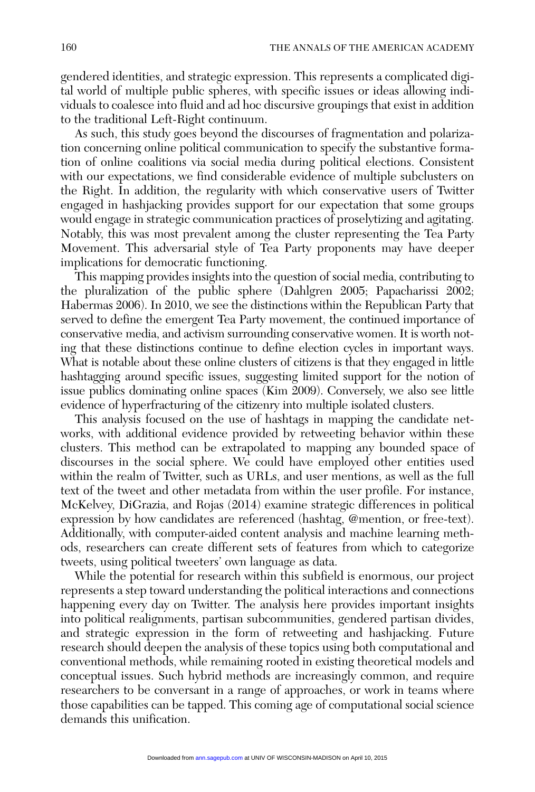gendered identities, and strategic expression. This represents a complicated digital world of multiple public spheres, with specific issues or ideas allowing individuals to coalesce into fluid and ad hoc discursive groupings that exist in addition to the traditional Left-Right continuum.

As such, this study goes beyond the discourses of fragmentation and polarization concerning online political communication to specify the substantive formation of online coalitions via social media during political elections. Consistent with our expectations, we find considerable evidence of multiple subclusters on the Right. In addition, the regularity with which conservative users of Twitter engaged in hashjacking provides support for our expectation that some groups would engage in strategic communication practices of proselytizing and agitating. Notably, this was most prevalent among the cluster representing the Tea Party Movement. This adversarial style of Tea Party proponents may have deeper implications for democratic functioning.

This mapping provides insights into the question of social media, contributing to the pluralization of the public sphere (Dahlgren 2005; Papacharissi 2002; Habermas 2006). In 2010, we see the distinctions within the Republican Party that served to define the emergent Tea Party movement, the continued importance of conservative media, and activism surrounding conservative women. It is worth noting that these distinctions continue to define election cycles in important ways. What is notable about these online clusters of citizens is that they engaged in little hashtagging around specific issues, suggesting limited support for the notion of issue publics dominating online spaces (Kim 2009). Conversely, we also see little evidence of hyperfracturing of the citizenry into multiple isolated clusters.

This analysis focused on the use of hashtags in mapping the candidate networks, with additional evidence provided by retweeting behavior within these clusters. This method can be extrapolated to mapping any bounded space of discourses in the social sphere. We could have employed other entities used within the realm of Twitter, such as URLs, and user mentions, as well as the full text of the tweet and other metadata from within the user profile. For instance, McKelvey, DiGrazia, and Rojas (2014) examine strategic differences in political expression by how candidates are referenced (hashtag, @mention, or free-text). Additionally, with computer-aided content analysis and machine learning methods, researchers can create different sets of features from which to categorize tweets, using political tweeters' own language as data.

While the potential for research within this subfield is enormous, our project represents a step toward understanding the political interactions and connections happening every day on Twitter. The analysis here provides important insights into political realignments, partisan subcommunities, gendered partisan divides, and strategic expression in the form of retweeting and hashjacking. Future research should deepen the analysis of these topics using both computational and conventional methods, while remaining rooted in existing theoretical models and conceptual issues. Such hybrid methods are increasingly common, and require researchers to be conversant in a range of approaches, or work in teams where those capabilities can be tapped. This coming age of computational social science demands this unification.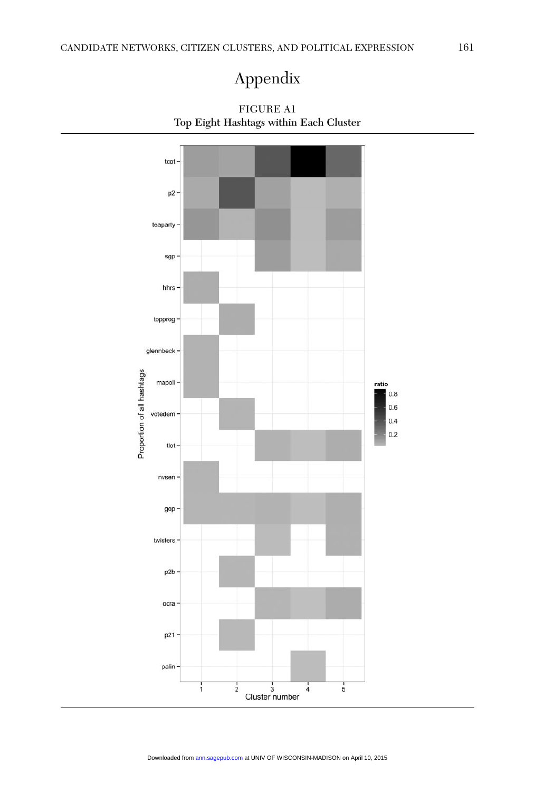# Appendix



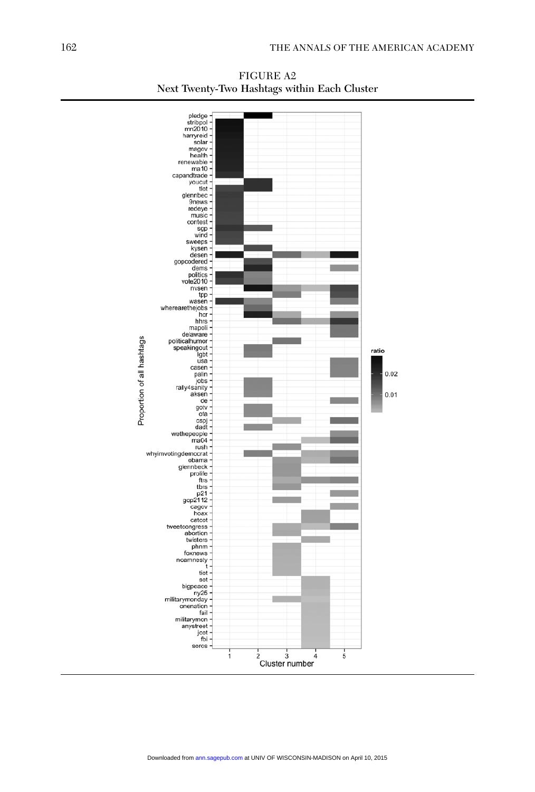

Figure A2 Next Twenty-Two Hashtags within Each Cluster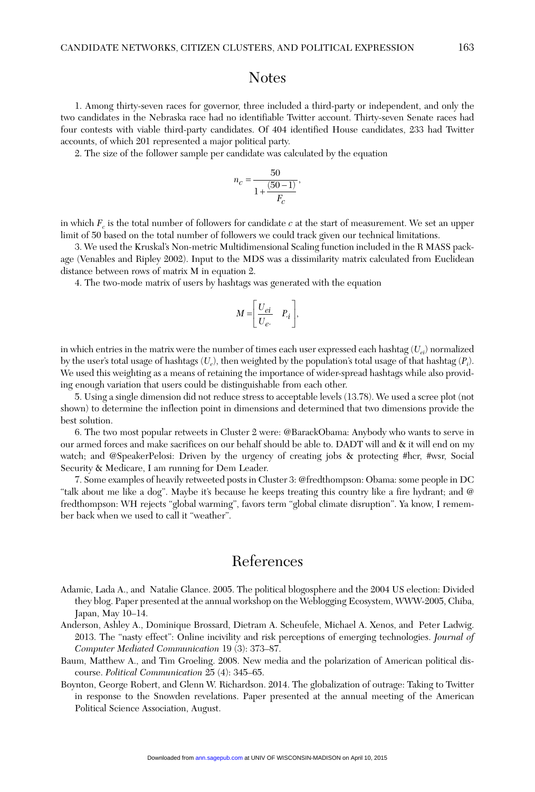### **Notes**

1. Among thirty-seven races for governor, three included a third-party or independent, and only the two candidates in the Nebraska race had no identifiable Twitter account. Thirty-seven Senate races had four contests with viable third-party candidates. Of 404 identified House candidates, 233 had Twitter accounts, of which 201 represented a major political party.

2. The size of the follower sample per candidate was calculated by the equation

$$
n_{\scriptscriptstyle C}=\frac{50}{1+\frac{(50-1)}{F_{\scriptscriptstyle C}}},
$$

in which  $F_c$  is the total number of followers for candidate  $c$  at the start of measurement. We set an upper limit of 50 based on the total number of followers we could track given our technical limitations.

3. We used the Kruskal's Non-metric Multidimensional Scaling function included in the R MASS package (Venables and Ripley 2002). Input to the MDS was a dissimilarity matrix calculated from Euclidean distance between rows of matrix M in equation 2.

4. The two-mode matrix of users by hashtags was generated with the equation

$$
M = \begin{bmatrix} U_{ei} & P_{\cdot i} \\ U_{e} & \end{bmatrix},
$$

in which entries in the matrix were the number of times each user expressed each hashtag (*Uei*) normalized by the user's total usage of hashtags (*Ue*), then weighted by the population's total usage of that hashtag (*Pi* ). We used this weighting as a means of retaining the importance of wider-spread hashtags while also providing enough variation that users could be distinguishable from each other.

5. Using a single dimension did not reduce stress to acceptable levels (13.78). We used a scree plot (not shown) to determine the inflection point in dimensions and determined that two dimensions provide the best solution.

6. The two most popular retweets in Cluster 2 were: @BarackObama: Anybody who wants to serve in our armed forces and make sacrifices on our behalf should be able to. DADT will and & it will end on my watch; and @SpeakerPelosi: Driven by the urgency of creating jobs & protecting #hcr, #wsr, Social Security & Medicare, I am running for Dem Leader.

7. Some examples of heavily retweeted posts in Cluster 3: @fredthompson: Obama: some people in DC "talk about me like a dog". Maybe it's because he keeps treating this country like a fire hydrant; and @ fredthompson: WH rejects "global warming", favors term "global climate disruption". Ya know, I remember back when we used to call it "weather".

## References

- Adamic, Lada A., and Natalie Glance. 2005. The political blogosphere and the 2004 US election: Divided they blog. Paper presented at the annual workshop on the Weblogging Ecosystem, WWW-2005, Chiba, Japan, May 10–14.
- Anderson, Ashley A., Dominique Brossard, Dietram A. Scheufele, Michael A. Xenos, and Peter Ladwig. 2013. The "nasty effect": Online incivility and risk perceptions of emerging technologies. *Journal of Computer Mediated Communication* 19 (3): 373–87.
- Baum, Matthew A., and Tim Groeling. 2008. New media and the polarization of American political discourse. *Political Communication* 25 (4): 345–65.
- Boynton, George Robert, and Glenn W. Richardson. 2014. The globalization of outrage: Taking to Twitter in response to the Snowden revelations. Paper presented at the annual meeting of the American Political Science Association, August.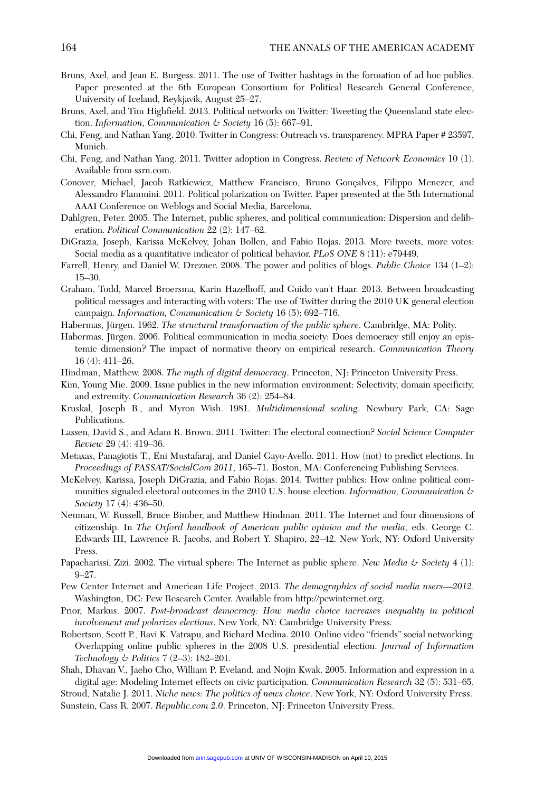- Bruns, Axel, and Jean E. Burgess. 2011. The use of Twitter hashtags in the formation of ad hoc publics. Paper presented at the 6th European Consortium for Political Research General Conference, University of Iceland, Reykjavik, August 25–27.
- Bruns, Axel, and Tim Highfield. 2013. Political networks on Twitter: Tweeting the Queensland state election. *Information, Communication & Society* 16 (5): 667–91.
- Chi, Feng, and Nathan Yang. 2010. Twitter in Congress: Outreach vs. transparency. MPRA Paper # 23597, Munich.
- Chi, Feng, and Nathan Yang. 2011. Twitter adoption in Congress. *Review of Network Economics* 10 (1). Available from ssrn.com.
- Conover, Michael, Jacob Ratkiewicz, Matthew Francisco, Bruno Gonçalves, Filippo Menczer, and Alessandro Flammini. 2011. Political polarization on Twitter. Paper presented at the 5th International AAAI Conference on Weblogs and Social Media, Barcelona.
- Dahlgren, Peter. 2005. The Internet, public spheres, and political communication: Dispersion and deliberation. *Political Communication* 22 (2): 147–62.
- DiGrazia, Joseph, Karissa McKelvey, Johan Bollen, and Fabio Rojas. 2013. More tweets, more votes: Social media as a quantitative indicator of political behavior. *PLoS ONE* 8 (11): e79449.
- Farrell, Henry, and Daniel W. Drezner. 2008. The power and politics of blogs. *Public Choice* 134 (1–2): 15–30.
- Graham, Todd, Marcel Broersma, Karin Hazelhoff, and Guido van't Haar. 2013. Between broadcasting political messages and interacting with voters: The use of Twitter during the 2010 UK general election campaign. *Information, Communication & Society* 16 (5): 692–716.
- Habermas, Jürgen. 1962. *The structural transformation of the public sphere*. Cambridge, MA: Polity.
- Habermas, Jürgen. 2006. Political communication in media society: Does democracy still enjoy an epistemic dimension? The impact of normative theory on empirical research. *Communication Theory* 16 (4): 411–26.
- Hindman, Matthew. 2008. *The myth of digital democracy*. Princeton, NJ: Princeton University Press.
- Kim, Young Mie. 2009. Issue publics in the new information environment: Selectivity, domain specificity, and extremity. *Communication Research* 36 (2): 254–84.
- Kruskal, Joseph B., and Myron Wish. 1981. *Multidimensional scaling*. Newbury Park, CA: Sage Publications.
- Lassen, David S., and Adam R. Brown. 2011. Twitter: The electoral connection? *Social Science Computer Review* 29 (4): 419–36.
- Metaxas, Panagiotis T., Eni Mustafaraj, and Daniel Gayo-Avello. 2011. How (not) to predict elections. In *Proceedings of PASSAT/SocialCom 2011*, 165–71. Boston, MA: Conferencing Publishing Services.
- McKelvey, Karissa, Joseph DiGrazia, and Fabio Rojas. 2014. Twitter publics: How online political communities signaled electoral outcomes in the 2010 U.S. house election. *Information, Communication & Society* 17 (4): 436–50.
- Neuman, W. Russell, Bruce Bimber, and Matthew Hindman. 2011. The Internet and four dimensions of citizenship. In *The Oxford handbook of American public opinion and the media*, eds. George C. Edwards III, Lawrence R. Jacobs, and Robert Y. Shapiro, 22–42. New York, NY: Oxford University Press.
- Papacharissi, Zizi. 2002. The virtual sphere: The Internet as public sphere. *New Media & Society* 4 (1): 9–27.
- Pew Center Internet and American Life Project. 2013. *The demographics of social media users—2012*. Washington, DC: Pew Research Center. Available from http://pewinternet.org.
- Prior, Markus. 2007. *Post-broadcast democracy: How media choice increases inequality in political involvement and polarizes elections*. New York, NY: Cambridge University Press.
- Robertson, Scott P., Ravi K. Vatrapu, and Richard Medina. 2010. Online video "friends" social networking: Overlapping online public spheres in the 2008 U.S. presidential election. *Journal of Information Technology & Politics* 7 (2–3): 182–201.
- Shah, Dhavan V., Jaeho Cho, William P. Eveland, and Nojin Kwak. 2005. Information and expression in a digital age: Modeling Internet effects on civic participation. *Communication Research* 32 (5): 531–65.
- Stroud, Natalie J. 2011. *Niche news: The politics of news choice*. New York, NY: Oxford University Press. Sunstein, Cass R. 2007. *Republic.com 2.0*. Princeton, NJ: Princeton University Press.